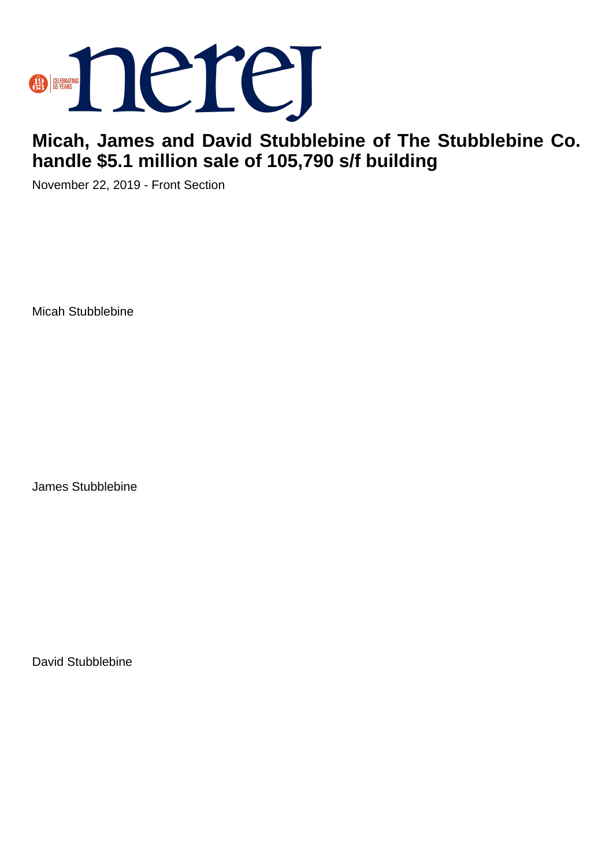

## **Micah, James and David Stubblebine of The Stubblebine Co. handle \$5.1 million sale of 105,790 s/f building**

November 22, 2019 - Front Section

Micah Stubblebine

James Stubblebine

David Stubblebine